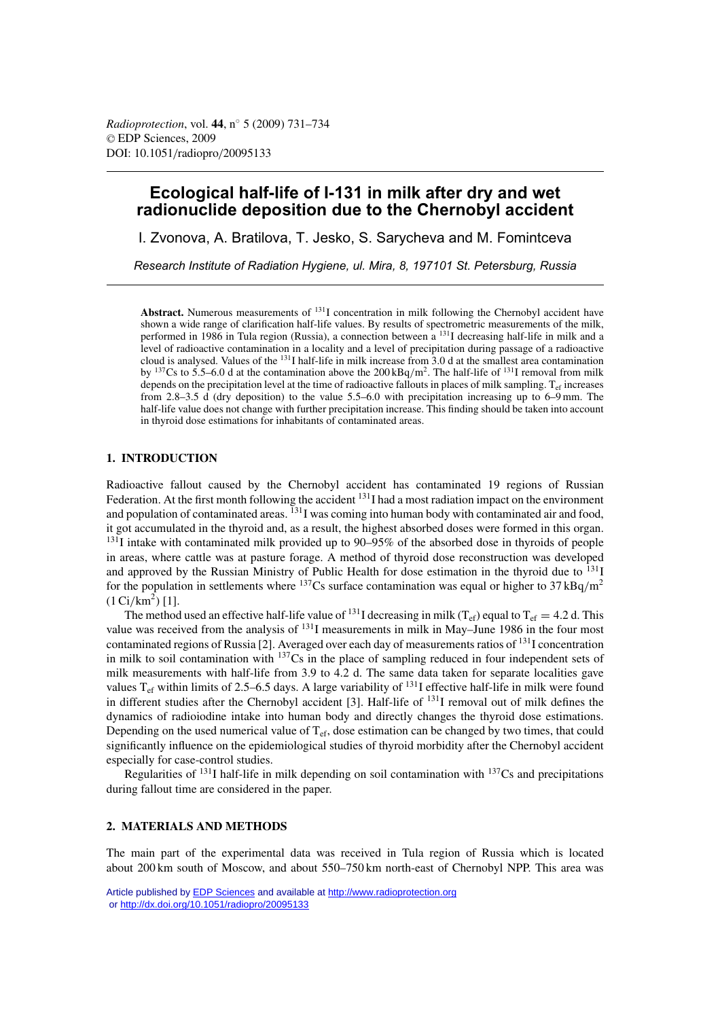# **Ecological half-life of I-131 in milk after dry and wet radionuclide deposition due to the Chernobyl accident**

I. Zvonova, A. Bratilova, T. Jesko, S. Sarycheva and M. Fomintceva

*Research Institute of Radiation Hygiene, ul. Mira, 8, 197101 St. Petersburg, Russia*

**Abstract.** Numerous measurements of <sup>131</sup>I concentration in milk following the Chernobyl accident have shown a wide range of clarification half-life values. By results of spectrometric measurements of the milk, performed in 1986 in Tula region (Russia), a connection between a 131I decreasing half-life in milk and a level of radioactive contamination in a locality and a level of precipitation during passage of a radioactive cloud is analysed. Values of the <sup>131</sup>I half-life in milk increase from 3.0 d at the smallest area contamination by <sup>137</sup>Cs to 5.5–6.0 d at the contamination above the 200 kBq/m<sup>2</sup>. The half-life of <sup>131</sup>I removal from milk depends on the precipitation level at the time of radioactive fallouts in places of milk sampling.  $T_{ef}$  increases from 2.8–3.5 d (dry deposition) to the value 5.5–6.0 with precipitation increasing up to 6–9 mm. The half-life value does not change with further precipitation increase. This finding should be taken into account in thyroid dose estimations for inhabitants of contaminated areas.

# **1. INTRODUCTION**

Radioactive fallout caused by the Chernobyl accident has contaminated 19 regions of Russian Federation. At the first month following the accident <sup>131</sup>I had a most radiation impact on the environment and population of contaminated areas. <sup>131</sup>I was coming into human body with contaminated air and food, it got accumulated in the thyroid and, as a result, the highest absorbed doses were formed in this organ. <sup>131</sup>I intake with contaminated milk provided up to 90–95% of the absorbed dose in thyroids of people in areas, where cattle was at pasture forage. A method of thyroid dose reconstruction was developed and approved by the Russian Ministry of Public Health for dose estimation in the thyroid due to <sup>131</sup>I for the population in settlements where  $^{137}$ Cs surface contamination was equal or higher to 37 kBq/m<sup>2</sup>  $(1 \text{ Ci/km}^2)$  [1].

The method used an effective half-life value of <sup>131</sup>I decreasing in milk (T<sub>ef</sub>) equal to T<sub>ef</sub> = 4.2 d. This value was received from the analysis of <sup>131</sup>I measurements in milk in May–June 1986 in the four most contaminated regions of Russia [2]. Averaged over each day of measurements ratios of 131I concentration in milk to soil contamination with 137Cs in the place of sampling reduced in four independent sets of milk measurements with half-life from 3.9 to 4.2 d. The same data taken for separate localities gave values  $T_{\text{ef}}$  within limits of 2.5–6.5 days. A large variability of <sup>131</sup>I effective half-life in milk were found in different studies after the Chernobyl accident [3]. Half-life of 131I removal out of milk defines the dynamics of radioiodine intake into human body and directly changes the thyroid dose estimations. Depending on the used numerical value of T<sub>ef</sub>, dose estimation can be changed by two times, that could significantly influence on the epidemiological studies of thyroid morbidity after the Chernobyl accident especially for case-control studies.

Regularities of 131I half-life in milk depending on soil contamination with 137Cs and precipitations during fallout time are considered in the paper.

# **2. MATERIALS AND METHODS**

The main part of the experimental data was received in Tula region of Russia which is located about 200 km south of Moscow, and about 550–750 km north-east of Chernobyl NPP. This area was

Article published by **EDP** Sciences and available at<http://www.radioprotection.org> or <http://dx.doi.org/10.1051/radiopro/20095133>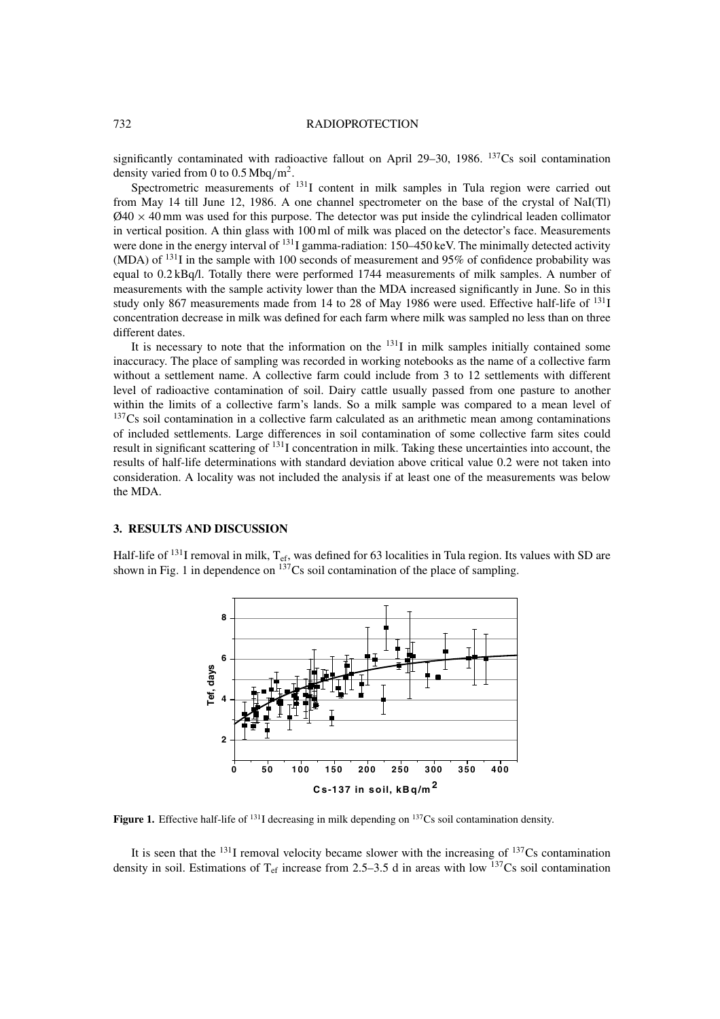#### 732 RADIOPROTECTION

significantly contaminated with radioactive fallout on April 29–30, 1986. <sup>137</sup>Cs soil contamination density varied from 0 to 0.5 Mbq/m<sup>2</sup>.

Spectrometric measurements of <sup>131</sup>I content in milk samples in Tula region were carried out from May 14 till June 12, 1986. A one channel spectrometer on the base of the crystal of NaI(Tl)  $\varnothing$ 40  $\times$  40 mm was used for this purpose. The detector was put inside the cylindrical leaden collimator in vertical position. A thin glass with 100 ml of milk was placed on the detector's face. Measurements were done in the energy interval of <sup>131</sup>I gamma-radiation: 150–450 keV. The minimally detected activity (MDA) of 131I in the sample with 100 seconds of measurement and 95% of confidence probability was equal to 0.2 kBq/l. Totally there were performed 1744 measurements of milk samples. A number of measurements with the sample activity lower than the MDA increased significantly in June. So in this study only 867 measurements made from 14 to 28 of May 1986 were used. Effective half-life of <sup>131</sup>I concentration decrease in milk was defined for each farm where milk was sampled no less than on three different dates.

It is necessary to note that the information on the  $131$  in milk samples initially contained some inaccuracy. The place of sampling was recorded in working notebooks as the name of a collective farm without a settlement name. A collective farm could include from 3 to 12 settlements with different level of radioactive contamination of soil. Dairy cattle usually passed from one pasture to another within the limits of a collective farm's lands. So a milk sample was compared to a mean level of  $137Cs$  soil contamination in a collective farm calculated as an arithmetic mean among contaminations of included settlements. Large differences in soil contamination of some collective farm sites could result in significant scattering of 131I concentration in milk. Taking these uncertainties into account, the results of half-life determinations with standard deviation above critical value 0.2 were not taken into consideration. A locality was not included the analysis if at least one of the measurements was below the MDA.

#### **3. RESULTS AND DISCUSSION**

Half-life of  $^{131}$ I removal in milk, T<sub>ef</sub>, was defined for 63 localities in Tula region. Its values with SD are shown in Fig. 1 in dependence on  $137$ Cs soil contamination of the place of sampling.



**Figure 1.** Effective half-life of <sup>131</sup>I decreasing in milk depending on <sup>137</sup>Cs soil contamination density.

It is seen that the  $^{131}$ I removal velocity became slower with the increasing of  $^{137}$ Cs contamination density in soil. Estimations of  $T_{\text{ef}}$  increase from 2.5–3.5 d in areas with low <sup>137</sup>Cs soil contamination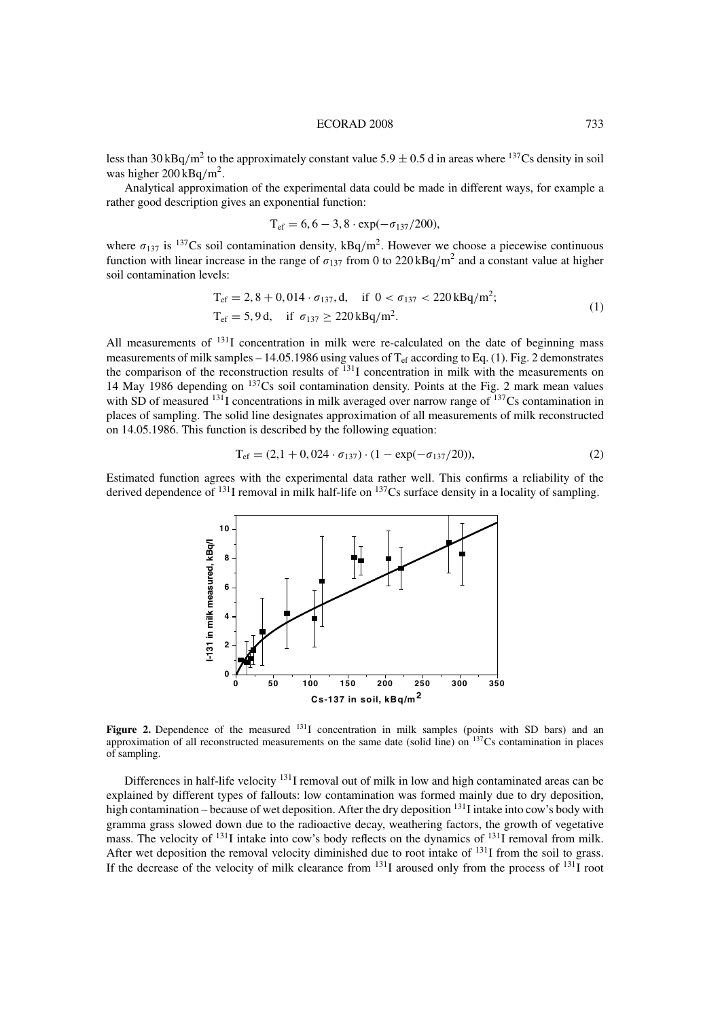#### ECORAD 2008 733

less than 30 kBq/m<sup>2</sup> to the approximately constant value 5.9  $\pm$  0.5 d in areas where <sup>137</sup>Cs density in soil was higher  $200 \text{ kBq/m}^2$ .

Analytical approximation of the experimental data could be made in different ways, for example a rather good description gives an exponential function:

$$
T_{\rm ef} = 6, 6 - 3, 8 \cdot \exp(-\sigma_{137}/200),
$$

where  $\sigma_{137}$  is <sup>137</sup>Cs soil contamination density, kBq/m<sup>2</sup>. However we choose a piecewise continuous function with linear increase in the range of  $\sigma_{137}$  from 0 to 220 kBq/m<sup>2</sup> and a constant value at higher soil contamination levels:

$$
T_{ef} = 2, 8 + 0, 014 \cdot \sigma_{137}, d, \text{ if } 0 < \sigma_{137} < 220 \text{ kBq/m}^2;
$$
  
\n
$$
T_{ef} = 5, 9 d, \text{ if } \sigma_{137} \ge 220 \text{ kBq/m}^2.
$$
\n(1)

All measurements of  $131$  concentration in milk were re-calculated on the date of beginning mass measurements of milk samples – 14.05.1986 using values of  $T_{\text{ef}}$  according to Eq. (1). Fig. 2 demonstrates the comparison of the reconstruction results of 131I concentration in milk with the measurements on 14 May 1986 depending on 137Cs soil contamination density. Points at the Fig. 2 mark mean values with SD of measured <sup>131</sup>I concentrations in milk averaged over narrow range of <sup>137</sup>Cs contamination in places of sampling. The solid line designates approximation of all measurements of milk reconstructed on 14.05.1986. This function is described by the following equation:

$$
T_{\rm ef} = (2.1 + 0.024 \cdot \sigma_{137}) \cdot (1 - \exp(-\sigma_{137}/20)), \tag{2}
$$

Estimated function agrees with the experimental data rather well. This confirms a reliability of the derived dependence of  $^{131}$ I removal in milk half-life on  $^{137}$ Cs surface density in a locality of sampling.



Differences in half-life velocity  $131$  removal out of milk in low and high contaminated areas can be explained by different types of fallouts: low contamination was formed mainly due to dry deposition, high contamination – because of wet deposition. After the dry deposition <sup>131</sup>I intake into cow's body with gramma grass slowed down due to the radioactive decay, weathering factors, the growth of vegetative mass. The velocity of <sup>131</sup>I intake into cow's body reflects on the dynamics of <sup>131</sup>I removal from milk. After wet deposition the removal velocity diminished due to root intake of <sup>131</sup>I from the soil to grass. If the decrease of the velocity of milk clearance from  $^{131}$ I aroused only from the process of  $^{131}$ I root